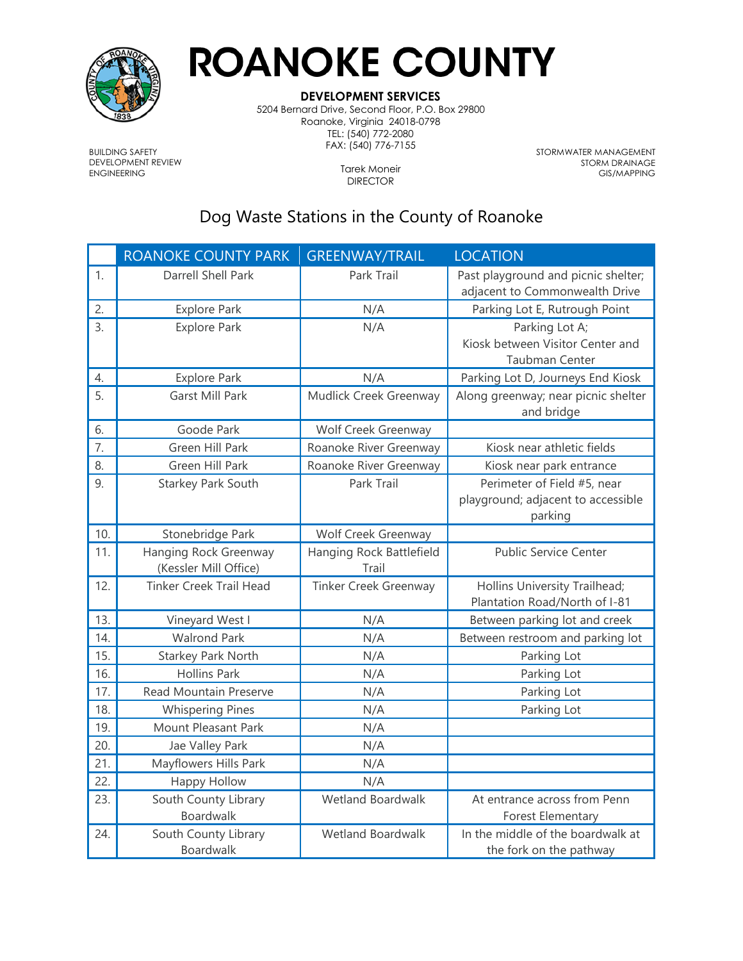

## **ROANOKE COUNTY**

## **DEVELOPMENT SERVICES**

5204 Bernard Drive, Second Floor, P.O. Box 29800 Roanoke, Virginia 24018-0798 TEL: (540) 772-2080 FAX: (540) 776-7155

BUILDING SAFETY DEVELOPMENT REVIEW ENGINEERING

Tarek Moneir DIRECTOR

STORMWATER MANAGEMENT STORM DRAINAGE GIS/MAPPING

## Dog Waste Stations in the County of Roanoke

|                  | <b>ROANOKE COUNTY PARK</b>                     | <b>GREENWAY/TRAIL</b>             | <b>LOCATION</b>                                                              |
|------------------|------------------------------------------------|-----------------------------------|------------------------------------------------------------------------------|
| 1.               | Darrell Shell Park                             | Park Trail                        | Past playground and picnic shelter;<br>adjacent to Commonwealth Drive        |
| 2.               | <b>Explore Park</b>                            | N/A                               | Parking Lot E, Rutrough Point                                                |
| 3.               | <b>Explore Park</b>                            | N/A                               | Parking Lot A;<br>Kiosk between Visitor Center and<br><b>Taubman Center</b>  |
| $\overline{4}$ . | <b>Explore Park</b>                            | N/A                               | Parking Lot D, Journeys End Kiosk                                            |
| 5.               | <b>Garst Mill Park</b>                         | Mudlick Creek Greenway            | Along greenway; near picnic shelter<br>and bridge                            |
| 6.               | Goode Park                                     | Wolf Creek Greenway               |                                                                              |
| $\overline{7}$ . | Green Hill Park                                | Roanoke River Greenway            | Kiosk near athletic fields                                                   |
| 8.               | Green Hill Park                                | Roanoke River Greenway            | Kiosk near park entrance                                                     |
| 9.               | <b>Starkey Park South</b>                      | Park Trail                        | Perimeter of Field #5, near<br>playground; adjacent to accessible<br>parking |
| 10.              | Stonebridge Park                               | Wolf Creek Greenway               |                                                                              |
| 11.              | Hanging Rock Greenway<br>(Kessler Mill Office) | Hanging Rock Battlefield<br>Trail | <b>Public Service Center</b>                                                 |
| 12.              | <b>Tinker Creek Trail Head</b>                 | <b>Tinker Creek Greenway</b>      | Hollins University Trailhead;<br>Plantation Road/North of I-81               |
| 13.              | Vineyard West I                                | N/A                               | Between parking lot and creek                                                |
| 14.              | <b>Walrond Park</b>                            | N/A                               | Between restroom and parking lot                                             |
| 15.              | Starkey Park North                             | N/A                               | Parking Lot                                                                  |
| 16.              | <b>Hollins Park</b>                            | N/A                               | Parking Lot                                                                  |
| 17.              | Read Mountain Preserve                         | N/A                               | Parking Lot                                                                  |
| 18.              | <b>Whispering Pines</b>                        | N/A                               | Parking Lot                                                                  |
| 19.              | Mount Pleasant Park                            | N/A                               |                                                                              |
| 20.              | Jae Valley Park                                | N/A                               |                                                                              |
| 21.              | Mayflowers Hills Park                          | N/A                               |                                                                              |
| 22.              | <b>Happy Hollow</b>                            | N/A                               |                                                                              |
| 23.              | South County Library<br>Boardwalk              | <b>Wetland Boardwalk</b>          | At entrance across from Penn<br>Forest Elementary                            |
| 24.              | South County Library<br>Boardwalk              | <b>Wetland Boardwalk</b>          | In the middle of the boardwalk at<br>the fork on the pathway                 |